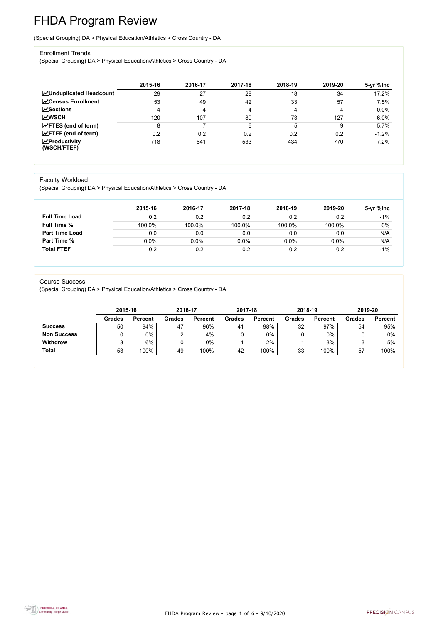FHDA Program Review - page 1 of 6 - 9/10/2020



# FHDA Program Review

(Special Grouping) DA > Physical Education/Athletics > Cross Country - DA

#### Enrollment Trends

(Special Grouping) DA > Physical Education/Athletics > Cross Country - DA

|                                    | 2015-16 | 2016-17 | 2017-18 | 2018-19 | 2019-20 | 5-yr %lnc |
|------------------------------------|---------|---------|---------|---------|---------|-----------|
| <b>MUnduplicated Headcount</b>     | 29      | 27      | 28      | 18      | 34      | 17.2%     |
| <b>ZCensus Enrollment</b>          | 53      | 49      | 42      | 33      | 57      | 7.5%      |
| <b>ZSections</b>                   | 4       | 4       | 4       | 4       | 4       | 0.0%      |
| <b>MWSCH</b>                       | 120     | 107     | 89      | 73      | 127     | 6.0%      |
| $\angle$ FTES (end of term)        | 8       |         | 6       | 5       | 9       | 5.7%      |
| $\angle$ FTEF (end of term)        | 0.2     | 0.2     | 0.2     | 0.2     | 0.2     | $-1.2%$   |
| $\chi$ Productivity<br>(WSCH/FTEF) | 718     | 641     | 533     | 434     | 770     | 7.2%      |

#### Faculty Workload

(Special Grouping) DA > Physical Education/Athletics > Cross Country - DA

|                       | 2015-16 | 2016-17 | 2017-18 | 2018-19 | 2019-20 | 5-yr %lnc |
|-----------------------|---------|---------|---------|---------|---------|-----------|
| <b>Full Time Load</b> | 0.2     | 0.2     | 0.2     | 0.2     | 0.2     | $-1\%$    |
| <b>Full Time %</b>    | 100.0%  | 100.0%  | 100.0%  | 100.0%  | 100.0%  | 0%        |
| <b>Part Time Load</b> | 0.0     | 0.0     | 0.0     | 0.0     | 0.0     | N/A       |
| <b>Part Time %</b>    | $0.0\%$ | 0.0%    | 0.0%    | 0.0%    | $0.0\%$ | N/A       |
| <b>Total FTEF</b>     | 0.2     | 0.2     | 0.2     | 0.2     | 0.2     | $-1\%$    |

#### Course Success

(Special Grouping) DA > Physical Education/Athletics > Cross Country - DA

| 2015-16       |                | 2016-17       |                | 2017-18       |                | 2018-19       |                | 2019-20       |                |
|---------------|----------------|---------------|----------------|---------------|----------------|---------------|----------------|---------------|----------------|
| <b>Grades</b> | <b>Percent</b> | <b>Grades</b> | <b>Percent</b> | <b>Grades</b> | <b>Percent</b> | <b>Grades</b> | <b>Percent</b> | <b>Grades</b> | <b>Percent</b> |
| 50            | 94%            | 47            | 96%            | 41            | 98%            | 32            | 97%            | 54            | 95%            |
|               | $0\%$          |               | 4%             |               | $0\%$          | U             | 0%             |               | 0%             |
|               | 6%             |               | $0\%$          |               | 2%             |               | 3%             |               | 5%             |
| 53            | 100%           | 49            | 100%           | 42            | 100%           | 33            | 100%           | 57            | 100%           |
|               |                |               |                |               |                |               |                |               |                |

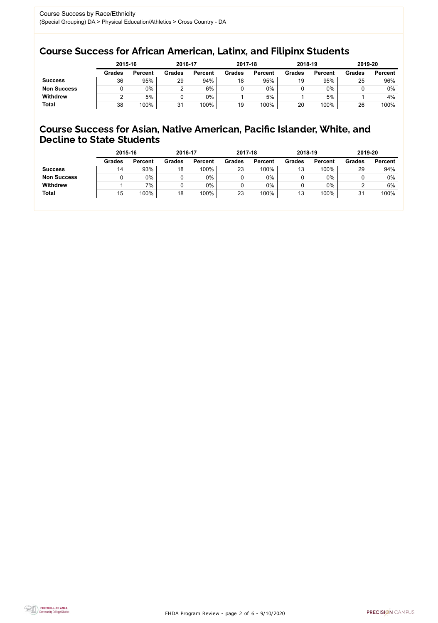FHDA Program Review - page 2 of 6 - 9/10/2020



### Course Success for African American, Latinx, and Filipinx Students

### Course Success for Asian, Native American, Pacific Islander, White, and Decline to State Students

|                    | 2015-16       |                | 2016-17       |                | 2017-18       |                | 2018-19       |                | 2019-20       |                |
|--------------------|---------------|----------------|---------------|----------------|---------------|----------------|---------------|----------------|---------------|----------------|
|                    | <b>Grades</b> | <b>Percent</b> | <b>Grades</b> | <b>Percent</b> | <b>Grades</b> | <b>Percent</b> | <b>Grades</b> | <b>Percent</b> | <b>Grades</b> | <b>Percent</b> |
| <b>Success</b>     | 36            | 95%            | 29            | 94%            | 18            | 95%            | 19            | 95%            | 25            | 96%            |
| <b>Non Success</b> |               | $0\%$          |               | 6%             |               | $0\%$          |               | 0%             |               | $0\%$          |
| <b>Withdrew</b>    |               | 5%             |               | $0\%$          |               | 5%             |               | 5%             |               | 4%             |
| <b>Total</b>       | 38            | 100%           | 31            | 100%           | 19            | 100%           | 20            | 100%           | 26            | 100%           |

|                    | 2015-16       |                | 2016-17       |                | 2017-18       |                | 2018-19       |                | 2019-20       |                |
|--------------------|---------------|----------------|---------------|----------------|---------------|----------------|---------------|----------------|---------------|----------------|
|                    | <b>Grades</b> | <b>Percent</b> | <b>Grades</b> | <b>Percent</b> | <b>Grades</b> | <b>Percent</b> | <b>Grades</b> | <b>Percent</b> | <b>Grades</b> | <b>Percent</b> |
| <b>Success</b>     | 14            | 93%            | 18            | 100%           | 23            | 100%           | 13            | 100%           | 29            | 94%            |
| <b>Non Success</b> |               | $0\%$          |               | 0%             |               | $0\%$          |               | 0%             |               | $0\%$          |
| <b>Withdrew</b>    |               | 7%             |               | 0%             |               | 0%             |               | 0%             |               | 6%             |
| <b>Total</b>       | 15            | 100%           | 18            | 100%           | 23            | 100%           | 13            | 100%           | 31            | 100%           |
|                    |               |                |               |                |               |                |               |                |               |                |

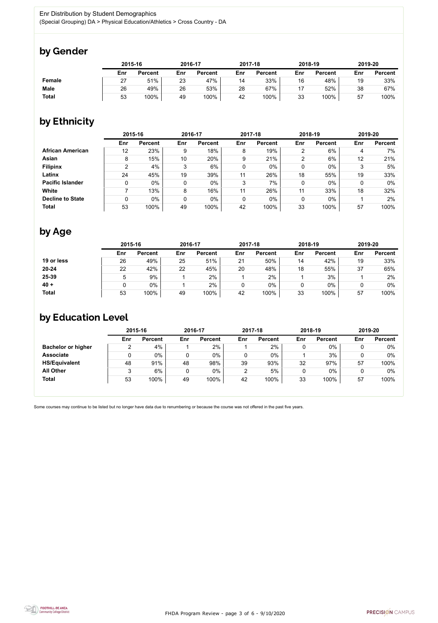FHDA Program Review - page 3 of 6 - 9/10/2020



Some courses may continue to be listed but no longer have data due to renumbering or because the course was not offered in the past five years.



## by Gender

|               | 2015-16 |                |     | 2016-17        |     | 2017-18        | 2018-19 |                | 2019-20 |                |
|---------------|---------|----------------|-----|----------------|-----|----------------|---------|----------------|---------|----------------|
|               | Enr     | <b>Percent</b> | Enr | <b>Percent</b> | Enr | <b>Percent</b> | Enr     | <b>Percent</b> | Enr     | <b>Percent</b> |
| <b>Female</b> | 27      | 51%            | 23  | 47%            | 14  | 33%            | 16      | 48%            | 19      | 33%            |
| <b>Male</b>   | 26      | 49%            | 26  | 53%            | 28  | 67%            | 17      | 52%            | 38      | 67%            |
| <b>Total</b>  | 53      | 100%           | 49  | 100%           | 42  | 100%           | 33      | 100%           | 57      | 100%           |

## by Ethnicity

|                         | 2015-16 |                |             | 2016-17        |                | 2017-18        |     | 2018-19        | 2019-20 |                |
|-------------------------|---------|----------------|-------------|----------------|----------------|----------------|-----|----------------|---------|----------------|
|                         | Enr     | <b>Percent</b> | Enr         | <b>Percent</b> | Enr            | <b>Percent</b> | Enr | <b>Percent</b> | Enr     | <b>Percent</b> |
| <b>African American</b> | 12      | 23%            | 9           | 18%            | 8              | 19%            | 2   | 6%             | 4       | 7%             |
| Asian                   | 8       | 15%            | 10          | 20%            | 9              | 21%            | 2   | 6%             | 12      | 21%            |
| <b>Filipinx</b>         | 2       | 4%             | 3           | 6%             | 0              | $0\%$          | 0   | $0\%$          | 3       | 5%             |
| Latinx                  | 24      | 45%            | 19          | 39%            | 11             | 26%            | 18  | 55%            | 19      | 33%            |
| <b>Pacific Islander</b> | 0       | $0\%$          | $\mathbf 0$ | $0\%$          | 3              | 7%             | 0   | $0\%$          |         | 0%             |
| White                   |         | 13%            | 8           | 16%            | 11             | 26%            | 11  | 33%            | 18      | 32%            |
| <b>Decline to State</b> | 0       | $0\%$          | 0           | $0\%$          | $\overline{0}$ | $0\%$          | 0   | $0\%$          |         | 2%             |
| <b>Total</b>            | 53      | 100%           | 49          | 100%           | 42             | 100%           | 33  | 100%           | 57      | 100%           |

## by Age

|              | 2015-16 |                |     | 2016-17        |     | 2017-18        |     | 2018-19        |     | 2019-20        |  |
|--------------|---------|----------------|-----|----------------|-----|----------------|-----|----------------|-----|----------------|--|
|              | Enr     | <b>Percent</b> | Enr | <b>Percent</b> | Enr | <b>Percent</b> | Enr | <b>Percent</b> | Enr | <b>Percent</b> |  |
| 19 or less   | 26      | 49%            | 25  | 51%            | 21  | 50%            | 14  | 42%            | 19  | 33%            |  |
| $20 - 24$    | 22      | 42%            | 22  | 45%            | 20  | 48%            | 18  | 55%            | 37  | 65%            |  |
| 25-39        |         | 9%             |     | 2%             |     | 2%             |     | 3%             |     | 2%             |  |
| $40 +$       |         | $0\%$          |     | 2%             |     | 0%             |     | $0\%$          |     | $0\%$          |  |
| <b>Total</b> | 53      | 100%           | 49  | 100%           | 42  | 100%           | 33  | 100%           | 57  | 100%           |  |

### by Education Level

|                           | 2015-16 |                |     | 2016-17        |     | 2017-18        | 2018-19 |                | 2019-20 |                |
|---------------------------|---------|----------------|-----|----------------|-----|----------------|---------|----------------|---------|----------------|
|                           | Enr     | <b>Percent</b> | Enr | <b>Percent</b> | Enr | <b>Percent</b> | Enr     | <b>Percent</b> | Enr     | <b>Percent</b> |
| <b>Bachelor or higher</b> | 2       | 4%             |     | 2%             |     | 2%             |         | $0\%$          |         | $0\%$          |
| <b>Associate</b>          |         | $0\%$          | 0   | $0\%$          |     | $0\%$          |         | 3%             |         | 0%             |
| <b>HS/Equivalent</b>      | 48      | 91%            | 48  | 98%            | 39  | 93%            | 32      | 97%            | 57      | 100%           |
| <b>All Other</b>          | 3       | 6%             |     | $0\%$          |     | 5%             |         | $0\%$          |         | 0%             |
| <b>Total</b>              | 53      | 100%           | 49  | 100%           | 42  | 100%           | 33      | 100%           | 57      | 100%           |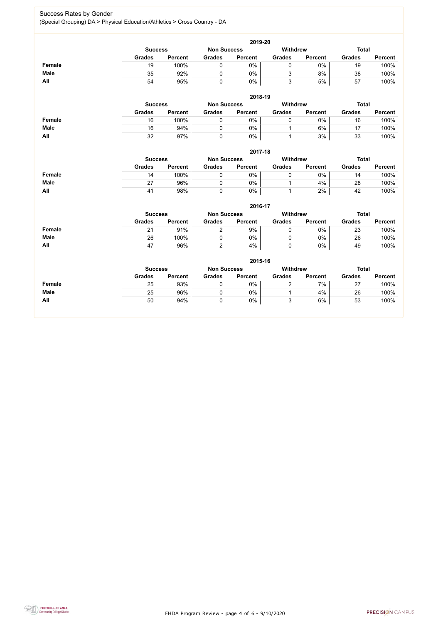FHDA Program Review - page 4 of 6 - 9/10/2020



### Success Rates by Gender (Special Grouping) DA > Physical Education/Athletics > Cross Country - DA

|               | 2019-20       |                                                                         |               |                |               |                |               |                |  |  |  |  |  |
|---------------|---------------|-------------------------------------------------------------------------|---------------|----------------|---------------|----------------|---------------|----------------|--|--|--|--|--|
|               |               | <b>Total</b><br><b>Withdrew</b><br><b>Non Success</b><br><b>Success</b> |               |                |               |                |               |                |  |  |  |  |  |
|               | <b>Grades</b> | <b>Percent</b>                                                          | <b>Grades</b> | <b>Percent</b> | <b>Grades</b> | <b>Percent</b> | <b>Grades</b> | <b>Percent</b> |  |  |  |  |  |
| <b>Female</b> | 19            | 100%                                                                    |               | 0%             |               | 0%             | 19            | 100%           |  |  |  |  |  |
| <b>Male</b>   | 35            | 92%                                                                     |               | 0%             |               | 8%             | 38            | 100%           |  |  |  |  |  |
| All           | 54            | 95%                                                                     |               | 0%             | 3             | 5%             | 57            | 100%           |  |  |  |  |  |
|               |               |                                                                         |               |                |               |                |               |                |  |  |  |  |  |

|             | 2018-19       |                                      |               |                |               |                                 |               |                |  |  |  |  |  |
|-------------|---------------|--------------------------------------|---------------|----------------|---------------|---------------------------------|---------------|----------------|--|--|--|--|--|
|             |               | <b>Non Success</b><br><b>Success</b> |               |                |               | <b>Total</b><br><b>Withdrew</b> |               |                |  |  |  |  |  |
|             | <b>Grades</b> | <b>Percent</b>                       | <b>Grades</b> | <b>Percent</b> | <b>Grades</b> | <b>Percent</b>                  | <b>Grades</b> | <b>Percent</b> |  |  |  |  |  |
| Female      | 16            | 100%                                 |               | 0%             |               | 0%                              | 16            | 100%           |  |  |  |  |  |
| <b>Male</b> | 16            | 94%                                  |               | 0%             |               | 6%                              |               | 100%           |  |  |  |  |  |
| All         | 32            | 97%                                  |               | 0%             |               | 3%                              | 33            | 100%           |  |  |  |  |  |

|               | 2017-18        |                |                    |                |                 |                |               |                |  |  |  |  |  |
|---------------|----------------|----------------|--------------------|----------------|-----------------|----------------|---------------|----------------|--|--|--|--|--|
|               | <b>Success</b> |                | <b>Non Success</b> |                | <b>Withdrew</b> |                | Total         |                |  |  |  |  |  |
|               | <b>Grades</b>  | <b>Percent</b> | <b>Grades</b>      | <b>Percent</b> | <b>Grades</b>   | <b>Percent</b> | <b>Grades</b> | <b>Percent</b> |  |  |  |  |  |
| <b>Female</b> | 14             | 100%           |                    | $0\%$          |                 | 0%             | 14            | 100%           |  |  |  |  |  |
| <b>Male</b>   | 27             | 96%            |                    | $0\%$          |                 | 4%             | 28            | 100%           |  |  |  |  |  |
| <b>All</b>    | 41             | 98%            |                    | $0\%$          |                 | 2%             | 42            | 100%           |  |  |  |  |  |

|               | 2016-17                                                 |                |               |                |               |                |               |                |  |  |
|---------------|---------------------------------------------------------|----------------|---------------|----------------|---------------|----------------|---------------|----------------|--|--|
|               | <b>Withdrew</b><br><b>Non Success</b><br><b>Success</b> |                |               |                |               |                |               | <b>Total</b>   |  |  |
|               | <b>Grades</b>                                           | <b>Percent</b> | <b>Grades</b> | <b>Percent</b> | <b>Grades</b> | <b>Percent</b> | <b>Grades</b> | <b>Percent</b> |  |  |
| <b>Female</b> | 21                                                      | 91%            |               | 9%             |               | 0%             | 23            | 100%           |  |  |
| <b>Male</b>   | 26                                                      | 100%           |               | $0\%$          |               | $0\%$          | 26            | 100%           |  |  |
| All           | 47                                                      | 96%            |               | 4%             |               | $0\%$          | 49            | 100%           |  |  |

|               | 2015-16       |                                                                         |               |                |               |                |               |                |  |
|---------------|---------------|-------------------------------------------------------------------------|---------------|----------------|---------------|----------------|---------------|----------------|--|
|               |               | <b>Withdrew</b><br><b>Total</b><br><b>Non Success</b><br><b>Success</b> |               |                |               |                |               |                |  |
|               | <b>Grades</b> | <b>Percent</b>                                                          | <b>Grades</b> | <b>Percent</b> | <b>Grades</b> | <b>Percent</b> | <b>Grades</b> | <b>Percent</b> |  |
| <b>Female</b> | 25            | 93%                                                                     |               | 0%             |               | 7%             | 27            | 100%           |  |
| <b>Male</b>   | 25            | 96%                                                                     |               | 0%             |               | 4%             | 26            | 100%           |  |
| All           | 50            | 94%                                                                     |               | 0%             | ັ             | 6%             | 53            | 100%           |  |

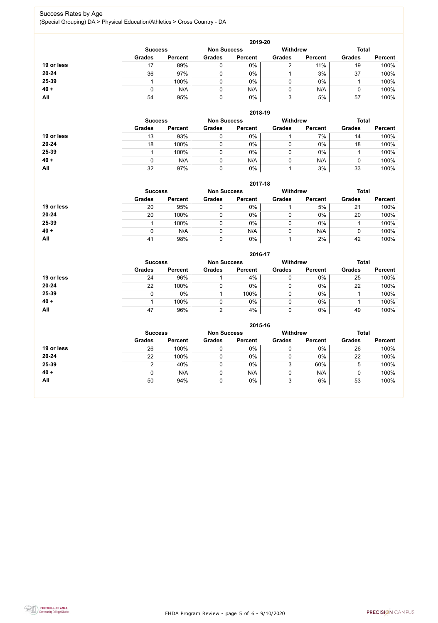FHDA Program Review - page 5 of 6 - 9/10/2020



### Success Rates by Age (Special Grouping) DA > Physical Education/Athletics > Cross Country - DA

|            | 2019-20        |                |                    |                |                 |                |               |                |  |
|------------|----------------|----------------|--------------------|----------------|-----------------|----------------|---------------|----------------|--|
|            | <b>Success</b> |                | <b>Non Success</b> |                | <b>Withdrew</b> |                | <b>Total</b>  |                |  |
|            | <b>Grades</b>  | <b>Percent</b> | <b>Grades</b>      | <b>Percent</b> | <b>Grades</b>   | <b>Percent</b> | <b>Grades</b> | <b>Percent</b> |  |
| 19 or less | 17             | 89%            |                    | $0\%$          | ົ               | 11%            | 19            | 100%           |  |
| 20-24      | 36             | 97%            |                    | 0%             |                 | 3%             | 37            | 100%           |  |
| 25-39      |                | 100%           |                    | $0\%$          | 0               | $0\%$          |               | 100%           |  |
| $40 +$     | 0              | N/A            |                    | N/A            | 0               | N/A            |               | 100%           |  |
| <b>All</b> | 54             | 95%            | 0                  | 0%             | 3               | 5%             | 57            | 100%           |  |

|            |                |                    |               | 2018-19         |               |                |               |                |
|------------|----------------|--------------------|---------------|-----------------|---------------|----------------|---------------|----------------|
|            | <b>Success</b> | <b>Non Success</b> |               | <b>Withdrew</b> |               | <b>Total</b>   |               |                |
|            | <b>Grades</b>  | <b>Percent</b>     | <b>Grades</b> | <b>Percent</b>  | <b>Grades</b> | <b>Percent</b> | <b>Grades</b> | <b>Percent</b> |
| 19 or less | 13             | 93%                |               | $0\%$           |               | 7%             | 14            | 100%           |
| $20 - 24$  | 18             | 100%               |               | $0\%$           | 0             | $0\%$          | 18            | 100%           |
| 25-39      |                | 100%               |               | $0\%$           | 0             | 0%             |               | 100%           |
| $40 +$     | 0              | N/A                |               | N/A             | 0             | N/A            |               | 100%           |
| All        | 32             | 97%                |               | 0%              |               | 3%             | 33            | 100%           |

|            | 2017-18                              |                |               |                |                 |                |               |                |  |
|------------|--------------------------------------|----------------|---------------|----------------|-----------------|----------------|---------------|----------------|--|
|            | <b>Non Success</b><br><b>Success</b> |                |               |                | <b>Withdrew</b> |                | <b>Total</b>  |                |  |
|            | <b>Grades</b>                        | <b>Percent</b> | <b>Grades</b> | <b>Percent</b> | <b>Grades</b>   | <b>Percent</b> | <b>Grades</b> | <b>Percent</b> |  |
| 19 or less | 20                                   | 95%            |               | 0%             |                 | 5%             | 21            | 100%           |  |
| $20 - 24$  | 20                                   | 100%           |               | 0%             |                 | $0\%$          | 20            | 100%           |  |
| 25-39      |                                      | 100%           |               | $0\%$          | υ               | $0\%$          |               | 100%           |  |
| $40 +$     | 0                                    | N/A            |               | N/A            | 0               | N/A            | U             | 100%           |  |
| All        | 41                                   | 98%            |               | 0%             |                 | 2%             | 42            | 100%           |  |

|            | 2016-17        |                    |               |                 |               |                |               |                |  |
|------------|----------------|--------------------|---------------|-----------------|---------------|----------------|---------------|----------------|--|
|            | <b>Success</b> | <b>Non Success</b> |               | <b>Withdrew</b> |               | <b>Total</b>   |               |                |  |
|            | <b>Grades</b>  | <b>Percent</b>     | <b>Grades</b> | <b>Percent</b>  | <b>Grades</b> | <b>Percent</b> | <b>Grades</b> | <b>Percent</b> |  |
| 19 or less | 24             | 96%                |               | 4%              | 0             | $0\%$          | 25            | 100%           |  |
| $20 - 24$  | 22             | 100%               |               | $0\%$           | 0             | $0\%$          | 22            | 100%           |  |
| 25-39      | $\mathbf{0}$   | 0%                 |               | 100%            |               | $0\%$          |               | 100%           |  |
| $40 +$     |                | 100%               |               | 0%              | 0             | $0\%$          |               | 100%           |  |
| All        | 47             | 96%                | ⌒             | 4%              | 0             | $0\%$          | 49            | 100%           |  |

|            |                |                    |               | 2015-16         |               |                |               |                |
|------------|----------------|--------------------|---------------|-----------------|---------------|----------------|---------------|----------------|
|            | <b>Success</b> | <b>Non Success</b> |               | <b>Withdrew</b> |               | <b>Total</b>   |               |                |
|            | <b>Grades</b>  | <b>Percent</b>     | <b>Grades</b> | <b>Percent</b>  | <b>Grades</b> | <b>Percent</b> | <b>Grades</b> | <b>Percent</b> |
| 19 or less | 26             | 100%               | ν             | $0\%$           |               | 0%             | 26            | 100%           |
| $20 - 24$  | 22             | 100%               | 0             | 0%              |               | 0%             | 22            | 100%           |
| 25-39      |                | 40%                |               | 0%              |               | 60%            | ა             | 100%           |
| $40 +$     |                | N/A                | υ             | N/A             |               | N/A            | $\mathbf 0$   | 100%           |
| All        | 50             | 94%                | U             | 0%              |               | 6%             | 53            | 100%           |